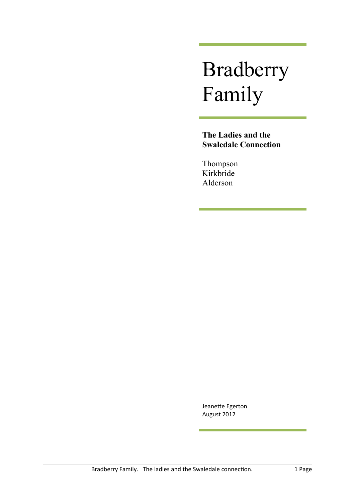# Bradberry Family

**The Ladies and the Swaledale Connection**

Thompson Kirkbride Alderson

Jeanette Egerton August 2012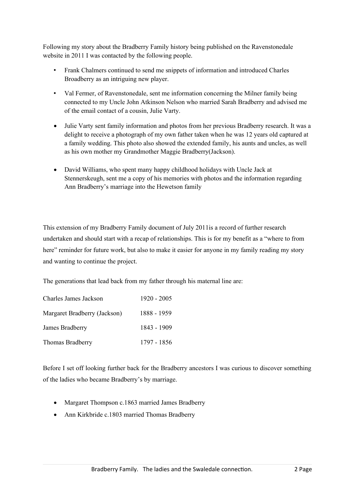Following my story about the Bradberry Family history being published on the Ravenstonedale website in 2011 I was contacted by the following people.

- Frank Chalmers continued to send me snippets of information and introduced Charles Broadberry as an intriguing new player.
- Val Fermer, of Ravenstonedale, sent me information concerning the Milner family being connected to my Uncle John Atkinson Nelson who married Sarah Bradberry and advised me of the email contact of a cousin, Julie Varty.
- Julie Varty sent family information and photos from her previous Bradberry research. It was a delight to receive a photograph of my own father taken when he was 12 years old captured at a family wedding. This photo also showed the extended family, his aunts and uncles, as well as his own mother my Grandmother Maggie Bradberry(Jackson).
- David Williams, who spent many happy childhood holidays with Uncle Jack at Stennerskeugh, sent me a copy of his memories with photos and the information regarding Ann Bradberry's marriage into the Hewetson family

This extension of my Bradberry Family document of July 2011is a record of further research undertaken and should start with a recap of relationships. This is for my benefit as a "where to from here" reminder for future work, but also to make it easier for anyone in my family reading my story and wanting to continue the project.

The generations that lead back from my father through his maternal line are:

| Charles James Jackson        | 1920 - 2005 |
|------------------------------|-------------|
| Margaret Bradberry (Jackson) | 1888 - 1959 |
| James Bradberry              | 1843 - 1909 |
| Thomas Bradberry             | 1797 - 1856 |

Before I set off looking further back for the Bradberry ancestors I was curious to discover something of the ladies who became Bradberry's by marriage.

- Margaret Thompson c.1863 married James Bradberry
- Ann Kirkbride c.1803 married Thomas Bradberry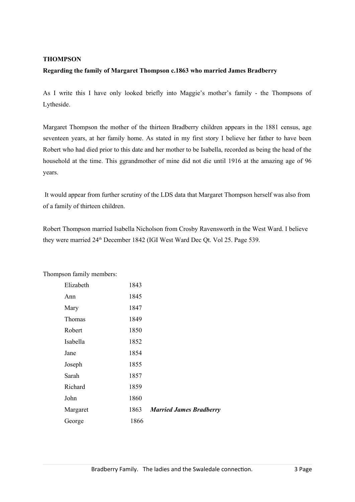# **THOMPSON**

# **Regarding the family of Margaret Thompson c.1863 who married James Bradberry**

As I write this I have only looked briefly into Maggie's mother's family - the Thompsons of Lytheside.

Margaret Thompson the mother of the thirteen Bradberry children appears in the 1881 census, age seventeen years, at her family home. As stated in my first story I believe her father to have been Robert who had died prior to this date and her mother to be Isabella, recorded as being the head of the household at the time. This ggrandmother of mine did not die until 1916 at the amazing age of 96 years.

 It would appear from further scrutiny of the LDS data that Margaret Thompson herself was also from of a family of thirteen children.

Robert Thompson married Isabella Nicholson from Crosby Ravensworth in the West Ward. I believe they were married 24<sup>th</sup> December 1842 (IGI West Ward Dec Qt. Vol 25. Page 539.

| пролганнгу піспюсть. |      |                                |
|----------------------|------|--------------------------------|
| Elizabeth            | 1843 |                                |
| Ann                  | 1845 |                                |
| Mary                 | 1847 |                                |
| Thomas               | 1849 |                                |
| Robert               | 1850 |                                |
| Isabella             | 1852 |                                |
| Jane                 | 1854 |                                |
| Joseph               | 1855 |                                |
| Sarah                | 1857 |                                |
| Richard              | 1859 |                                |
| John                 | 1860 |                                |
| Margaret             | 1863 | <b>Married James Bradberry</b> |
| George               | 1866 |                                |

Thompson family members: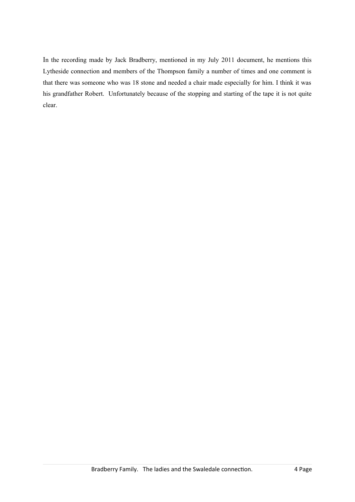In the recording made by Jack Bradberry, mentioned in my July 2011 document, he mentions this Lytheside connection and members of the Thompson family a number of times and one comment is that there was someone who was 18 stone and needed a chair made especially for him. I think it was his grandfather Robert. Unfortunately because of the stopping and starting of the tape it is not quite clear.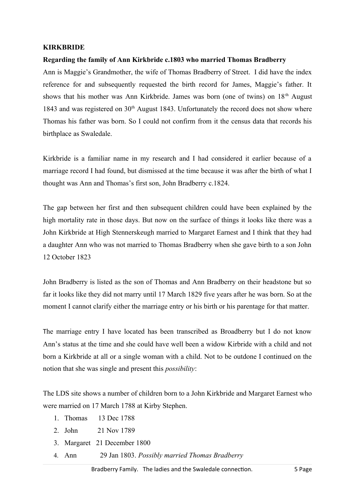# **KIRKBRIDE**

# **Regarding the family of Ann Kirkbride c.1803 who married Thomas Bradberry**

Ann is Maggie's Grandmother, the wife of Thomas Bradberry of Street. I did have the index reference for and subsequently requested the birth record for James, Maggie's father. It shows that his mother was Ann Kirkbride. James was born (one of twins) on 18<sup>th</sup> August 1843 and was registered on  $30<sup>th</sup>$  August 1843. Unfortunately the record does not show where Thomas his father was born. So I could not confirm from it the census data that records his birthplace as Swaledale.

Kirkbride is a familiar name in my research and I had considered it earlier because of a marriage record I had found, but dismissed at the time because it was after the birth of what I thought was Ann and Thomas's first son, John Bradberry c.1824.

The gap between her first and then subsequent children could have been explained by the high mortality rate in those days. But now on the surface of things it looks like there was a John Kirkbride at High Stennerskeugh married to Margaret Earnest and I think that they had a daughter Ann who was not married to Thomas Bradberry when she gave birth to a son John 12 October 1823

John Bradberry is listed as the son of Thomas and Ann Bradberry on their headstone but so far it looks like they did not marry until 17 March 1829 five years after he was born. So at the moment I cannot clarify either the marriage entry or his birth or his parentage for that matter.

The marriage entry I have located has been transcribed as Broadberry but I do not know Ann's status at the time and she could have well been a widow Kirbride with a child and not born a Kirkbride at all or a single woman with a child. Not to be outdone I continued on the notion that she was single and present this *possibility*:

The LDS site shows a number of children born to a John Kirkbride and Margaret Earnest who were married on 17 March 1788 at Kirby Stephen.

- 1. Thomas 13 Dec 1788
- 2. John 21 Nov 1789
- 3. Margaret 21 December 1800
- 4. Ann 29 Jan 1803. *Possibly married Thomas Bradberry*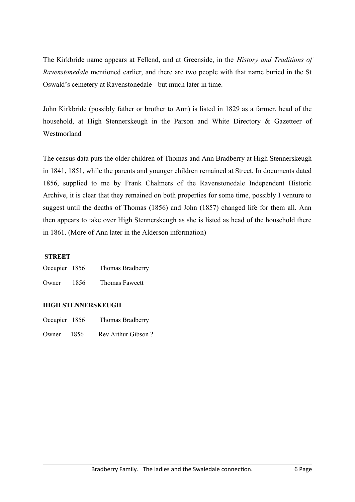The Kirkbride name appears at Fellend, and at Greenside, in the *History and Traditions of Ravenstonedale* mentioned earlier, and there are two people with that name buried in the St Oswald's cemetery at Ravenstonedale - but much later in time.

John Kirkbride (possibly father or brother to Ann) is listed in 1829 as a farmer, head of the household, at High Stennerskeugh in the Parson and White Directory & Gazetteer of Westmorland

The census data puts the older children of Thomas and Ann Bradberry at High Stennerskeugh in 1841, 1851, while the parents and younger children remained at Street. In documents dated 1856, supplied to me by Frank Chalmers of the Ravenstonedale Independent Historic Archive, it is clear that they remained on both properties for some time, possibly I venture to suggest until the deaths of Thomas (1856) and John (1857) changed life for them all. Ann then appears to take over High Stennerskeugh as she is listed as head of the household there in 1861. (More of Ann later in the Alderson information)

# **STREET**

| Occupier 1856 |      | Thomas Bradberry |
|---------------|------|------------------|
| Owner         | 1856 | Thomas Fawcett   |

# **HIGH STENNERSKEUGH**

- Occupier 1856 Thomas Bradberry
- Owner 1856 Rev Arthur Gibson ?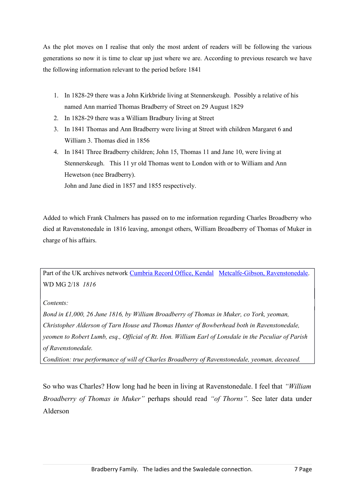As the plot moves on I realise that only the most ardent of readers will be following the various generations so now it is time to clear up just where we are. According to previous research we have the following information relevant to the period before 1841

- 1. In 1828-29 there was a John Kirkbride living at Stennerskeugh. Possibly a relative of his named Ann married Thomas Bradberry of Street on 29 August 1829
- 2. In 1828-29 there was a William Bradbury living at Street
- 3. In 1841 Thomas and Ann Bradberry were living at Street with children Margaret 6 and William 3. Thomas died in 1856
- 4. In 1841 Three Bradberry children; John 15, Thomas 11 and Jane 10, were living at Stennerskeugh. This 11 yr old Thomas went to London with or to William and Ann Hewetson (nee Bradberry).

John and Jane died in 1857 and 1855 respectively.

Added to which Frank Chalmers has passed on to me information regarding Charles Broadberry who died at Ravenstonedale in 1816 leaving, amongst others, William Broadberry of Thomas of Muker in charge of his affairs.

Part of the UK archives network [Cumbria Record Office, Kendal](http://www.nationalarchives.gov.uk/archon/searches/locresult_details.asp?LR=24) [Metcalfe-Gibson, Ravenstonedale.](http://www.nationalarchives.gov.uk/A2A/records.aspx?cat=024-wdmg&cid=0) WD MG 2/18 *1816*

# *Contents:*

*Bond in £1,000, 26 June 1816, by William Broadberry of Thomas in Muker, co York, yeoman, Christopher Alderson of Tarn House and Thomas Hunter of Bowberhead both in Ravenstonedale, yeomen to Robert Lumb, esq., Official of Rt. Hon. William Earl of Lonsdale in the Peculiar of Parish of Ravenstonedale.*

*Condition: true performance of will of Charles Broadberry of Ravenstonedale, yeoman, deceased.*

So who was Charles? How long had he been in living at Ravenstonedale. I feel that *"William Broadberry of Thomas in Muker"* perhaps should read *"of Thorns".* See later data under Alderson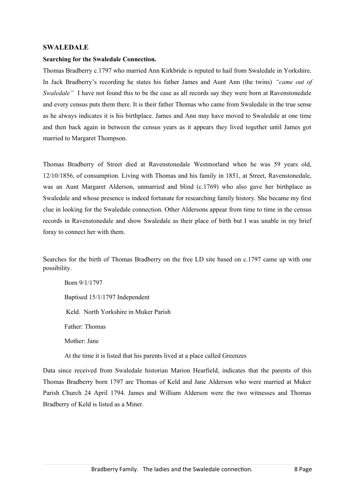#### **SWALEDALE**

#### **Searching for the Swaledale Connection.**

Thomas Bradberry c.1797 who married Ann Kirkbride is reputed to hail from Swaledale in Yorkshire. In Jack Bradberry's recording he states his father James and Aunt Ann (the twins) *"came out of Swaledale"* I have not found this to be the case as all records say they were born at Ravenstonedale and every census puts them there. It is their father Thomas who came from Swaledale in the true sense as he always indicates it is his birthplace. James and Ann may have moved to Swaledale at one time and then back again in between the census years as it appears they lived together until James got married to Margaret Thompson.

Thomas Bradberry of Street died at Ravenstonedale Westmorland when he was 59 years old, 12/10/1856, of consumption. Living with Thomas and his family in 1851, at Street, Ravenstonedale, was an Aunt Margaret Alderson, unmarried and blind (c.1769) who also gave her birthplace as Swaledale and whose presence is indeed fortunate for researching family history. She became my first clue in looking for the Swaledale connection. Other Aldersons appear from time to time in the census records in Ravenstonedale and show Swaledale as their place of birth but I was unable in my brief foray to connect her with them.

Searches for the birth of Thomas Bradberry on the free LD site based on c.1797 came up with one possibility.

Born 9/1/1797 Baptised 15/1/1797 Independent Keld. North Yorkshire in Muker Parish Father: Thomas Mother: Jane

At the time it is listed that his parents lived at a place called Greenzes

Data since received from Swaledale historian Marion Hearfield, indicates that the parents of this Thomas Bradberry born 1797 are Thomas of Keld and Jane Alderson who were married at Muker Parish Church 24 April 1794. James and William Alderson were the two witnesses and Thomas Bradberry of Keld is listed as a Miner.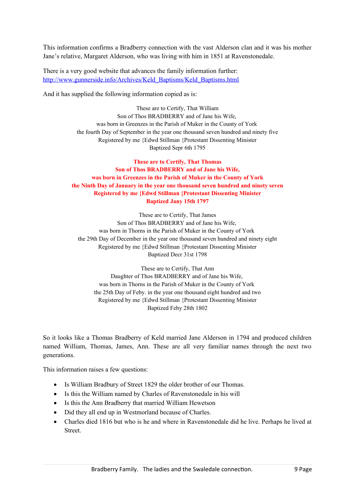This information confirms a Bradberry connection with the vast Alderson clan and it was his mother Jane's relative, Margaret Alderson, who was living with him in 1851 at Ravenstonedale.

There is a very good website that advances the family information further: [http://www.gunnerside.info/Archives/Keld\\_Baptisms/Keld\\_Baptisms.html](http://www.gunnerside.info/Archives/Keld_Baptisms/Keld_Baptisms.html)

And it has supplied the following information copied as is:

These are to Certify, That William Son of Thos BRADBERRY and of Jane his Wife, was born in Greenzes in the Parish of Muker in the County of York the fourth Day of September in the year one thousand seven hundred and ninety five Registered by me {Edwd Stillman {Protestant Dissenting Minister Baptized Sepr 6th 1795

**These are to Certify, That Thomas Son of Thos BRADBERRY and of Jane his Wife, was born in Greenzes in the Parish of Muker in the County of York the Ninth Day of January in the year one thousand seven hundred and ninety seven Registered by me {Edwd Stillman {Protestant Dissenting Minister Baptized Jany 15th 1797**

These are to Certify, That James Son of Thos BRADBERRY and of Jane his Wife, was born in Thorns in the Parish of Muker in the County of York the 29th Day of December in the year one thousand seven hundred and ninety eight Registered by me {Edwd Stillman {Protestant Dissenting Minister Baptized Decr 31st 1798

These are to Certify, That Ann Daughter of Thos BRADBERRY and of Jane his Wife, was born in Thorns in the Parish of Muker in the County of York the 25th Day of Feby. in the year one thousand eight hundred and two Registered by me {Edwd Stillman {Protestant Dissenting Minister Baptized Feby 28th 1802

So it looks like a Thomas Bradberry of Keld married Jane Alderson in 1794 and produced children named William, Thomas, James, Ann. These are all very familiar names through the next two generations.

This information raises a few questions:

- Is William Bradbury of Street 1829 the older brother of our Thomas.
- Is this the William named by Charles of Ravenstonedale in his will
- Is this the Ann Bradberry that married William Hewetson
- Did they all end up in Westmorland because of Charles.
- Charles died 1816 but who is he and where in Ravenstonedale did he live. Perhaps he lived at Street.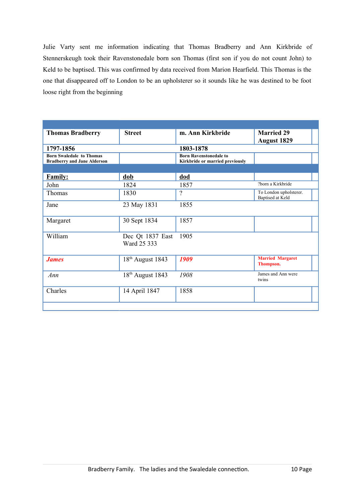Julie Varty sent me information indicating that Thomas Bradberry and Ann Kirkbride of Stennerskeugh took their Ravenstonedale born son Thomas (first son if you do not count John) to Keld to be baptised. This was confirmed by data received from Marion Hearfield. This Thomas is the one that disappeared off to London to be an upholsterer so it sounds like he was destined to be foot loose right from the beginning

| <b>Thomas Bradberry</b>                                               | <b>Street</b>                   |                                                                  | <b>Married 29</b><br><b>August 1829</b>    |  |
|-----------------------------------------------------------------------|---------------------------------|------------------------------------------------------------------|--------------------------------------------|--|
| 1797-1856                                                             |                                 | 1803-1878                                                        |                                            |  |
| <b>Born Swaledale to Thomas</b><br><b>Bradberry and Jane Alderson</b> |                                 | <b>Born Ravenstonedale to</b><br>Kirkbride or married previously |                                            |  |
|                                                                       |                                 |                                                                  |                                            |  |
| <b>Family:</b>                                                        | dob                             | dod                                                              |                                            |  |
| John                                                                  | 1824                            | 1857                                                             | ?born a Kirkbride                          |  |
| Thomas                                                                | 1830                            | $\overline{?}$                                                   | To London upholsterer.<br>Baptised at Keld |  |
| Jane                                                                  | 23 May 1831                     | 1855                                                             |                                            |  |
| Margaret                                                              | 30 Sept 1834                    | 1857                                                             |                                            |  |
| William                                                               | Dec Qt 1837 East<br>Ward 25 333 | 1905                                                             |                                            |  |
| <b>James</b>                                                          | $18th$ August 1843              | 1909                                                             | <b>Married Margaret</b><br>Thompson.       |  |
| Ann                                                                   | $18th$ August 1843              | 1908                                                             | James and Ann were<br>twins                |  |
| Charles                                                               | 14 April 1847                   | 1858                                                             |                                            |  |
|                                                                       |                                 |                                                                  |                                            |  |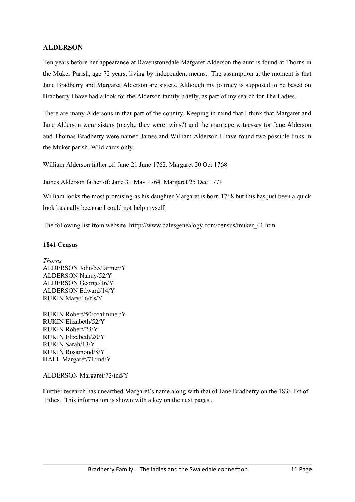# **ALDERSON**

Ten years before her appearance at Ravenstonedale Margaret Alderson the aunt is found at Thorns in the Muker Parish, age 72 years, living by independent means. The assumption at the moment is that Jane Bradberry and Margaret Alderson are sisters. Although my journey is supposed to be based on Bradberry I have had a look for the Alderson family briefly, as part of my search for The Ladies.

There are many Aldersons in that part of the country. Keeping in mind that I think that Margaret and Jane Alderson were sisters (maybe they were twins?) and the marriage witnesses for Jane Alderson and Thomas Bradberry were named James and William Alderson I have found two possible links in the Muker parish. Wild cards only.

William Alderson father of: Jane 21 June 1762. Margaret 20 Oct 1768

James Alderson father of: Jane 31 May 1764. Margaret 25 Dec 1771

William looks the most promising as his daughter Margaret is born 1768 but this has just been a quick look basically because I could not help myself.

The following list from website htttp://www.dalesgenealogy.com/census/muker\_41.htm

# **1841 Census**

*Thorns* ALDERSON John/55/farmer/Y ALDERSON Nanny/52/Y ALDERSON George/16/Y ALDERSON Edward/14/Y RUKIN Mary/16/f.s/Y

RUKIN Robert/50/coalminer/Y RUKIN Elizabeth/52/Y RUKIN Robert/23/Y RUKIN Elizabeth/20/Y RUKIN Sarah/13/Y RUKIN Rosamond/8/Y HALL Margaret/71/ind/Y

# ALDERSON Margaret/72/ind/Y

Further research has unearthed Margaret's name along with that of Jane Bradberry on the 1836 list of Tithes. This information is shown with a key on the next pages..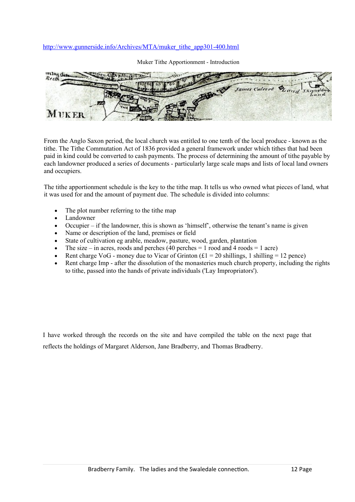# [http://www.gunnerside.info/Archives/MTA/muker\\_tithe\\_app301-400.html](http://www.gunnerside.info/Archives/MTA/muker_tithe_app301-400.html)

James Caleert MUKER

Muker Tithe Apportionment - Introduction

From the Anglo Saxon period, the local church was entitled to one tenth of the local produce - known as the tithe. The Tithe Commutation Act of 1836 provided a general framework under which tithes that had been paid in kind could be converted to cash payments. The process of determining the amount of tithe payable by each landowner produced a series of documents - particularly large scale maps and lists of local land owners and occupiers.

The tithe apportionment schedule is the key to the tithe map. It tells us who owned what pieces of land, what it was used for and the amount of payment due. The schedule is divided into columns:

- The plot number referring to the tithe map
- Landowner
- Occupier if the landowner, this is shown as 'himself', otherwise the tenant's name is given
- Name or description of the land, premises or field
- State of cultivation eg arable, meadow, pasture, wood, garden, plantation
- The size in acres, roods and perches (40 perches  $= 1$  rood and 4 roods  $= 1$  acre)
- Rent charge VoG money due to Vicar of Grinton  $f(1 = 20)$  shillings, 1 shilling = 12 pence)
- Rent charge Imp after the dissolution of the monasteries much church property, including the rights to tithe, passed into the hands of private individuals ('Lay Impropriators').

I have worked through the records on the site and have compiled the table on the next page that reflects the holdings of Margaret Alderson, Jane Bradberry, and Thomas Bradberry.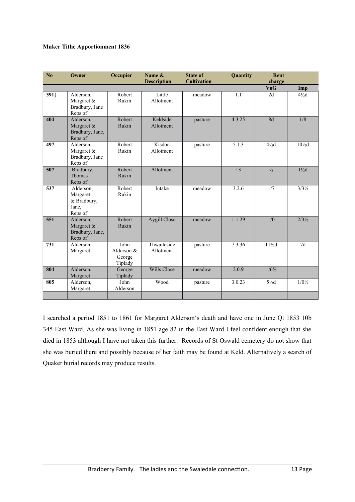#### **Muker Tithe Apportionment 1836**

| N <sub>o</sub> | Owner                                                    | Occupier                                  | Name &<br><b>Description</b> | <b>State of</b><br><b>Cultivation</b> | Quantity | Rent<br>charge   |                  |
|----------------|----------------------------------------------------------|-------------------------------------------|------------------------------|---------------------------------------|----------|------------------|------------------|
|                |                                                          |                                           |                              |                                       |          | <b>VoG</b>       | Imp              |
| 391            | Alderson,<br>Margaret &<br>Bradbury, Jane<br>Reps of     | Robert<br>Rukin                           | Little<br>Allotment          | meadow                                | 1.1      | 2d               | $4\frac{1}{2}d$  |
| 404            | Alderson,<br>Margaret &<br>Bradbury, Jane,<br>Reps of    | Robert<br>Rukin                           | Keldside<br>Allotment        | pasture                               | 4.3.25   | 8d               | 1/8              |
| 497            | Alderson,<br>Margaret &<br>Bradbury, Jane<br>Reps of     | Robert<br>Rukin                           | Kisdon<br>Allotment          | pasture                               | 5.1.3    | $4\frac{1}{2}d$  | $10\frac{1}{2}d$ |
| 507            | Bradbury,<br>Thomas<br>Reps of                           | Robert<br>Rukin                           | Allotment                    |                                       | 13       | $\frac{1}{2}$    | $1\frac{1}{2}d$  |
| 537            | Alderson,<br>Margaret<br>& Bradbury,<br>Jane,<br>Reps of | Robert<br>Rukin                           | Intake                       | meadow                                | 3.2.6    | 1/7              | $3/3\frac{1}{2}$ |
| 551            | Alderson,<br>Margaret &<br>Bradbury, Jane,<br>Reps of    | Robert<br>Rukin                           | Aygill Close                 | meadow                                | 1.1.29   | 1/0              | $2/3\frac{1}{2}$ |
| 731            | Alderson,<br>Margaret                                    | John<br>Alderson $&$<br>George<br>Tiplady | Thwaiteside<br>Allotment     | pasture                               | 7.3.36   | $11\frac{1}{2}d$ | 7d               |
| 804            | Alderson,<br>Margaret                                    | George<br>Tiplady                         | Wills Close                  | meadow                                | 2.0.9    | $1/6\frac{1}{2}$ |                  |
| 805            | Alderson,<br>Margaret                                    | John<br>Alderson                          | Wood                         | pasture                               | 3.0.23   | $5\frac{1}{2}d$  | $1/0\frac{1}{2}$ |
|                |                                                          |                                           |                              |                                       |          |                  |                  |

I searched a period 1851 to 1861 for Margaret Alderson's death and have one in June Qt 1853 10b 345 East Ward. As she was living in 1851 age 82 in the East Ward I feel confident enough that she died in 1853 although I have not taken this further. Records of St Oswald cemetery do not show that she was buried there and possibly because of her faith may be found at Keld. Alternatively a search of Quaker burial records may produce results.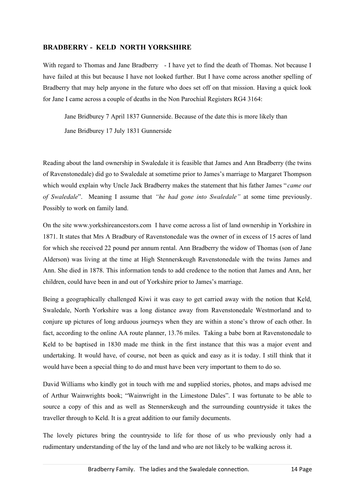# **BRADBERRY - KELD NORTH YORKSHIRE**

With regard to Thomas and Jane Bradberry - I have yet to find the death of Thomas. Not because I have failed at this but because I have not looked further. But I have come across another spelling of Bradberry that may help anyone in the future who does set off on that mission. Having a quick look for Jane I came across a couple of deaths in the Non Parochial Registers RG4 3164:

Jane Bridburey 7 April 1837 Gunnerside. Because of the date this is more likely than

Jane Bridburey 17 July 1831 Gunnerside

Reading about the land ownership in Swaledale it is feasible that James and Ann Bradberry (the twins of Ravenstonedale) did go to Swaledale at sometime prior to James's marriage to Margaret Thompson which would explain why Uncle Jack Bradberry makes the statement that his father James " *came out of Swaledale*". Meaning I assume that *"he had gone into Swaledale"* at some time previously. Possibly to work on family land.

On the site www.yorkshireancestors.com I have come across a list of land ownership in Yorkshire in 1871. It states that Mrs A Bradbury of Ravenstonedale was the owner of in excess of 15 acres of land for which she received 22 pound per annum rental. Ann Bradberry the widow of Thomas (son of Jane Alderson) was living at the time at High Stennerskeugh Ravenstonedale with the twins James and Ann. She died in 1878. This information tends to add credence to the notion that James and Ann, her children, could have been in and out of Yorkshire prior to James's marriage.

Being a geographically challenged Kiwi it was easy to get carried away with the notion that Keld, Swaledale, North Yorkshire was a long distance away from Ravenstonedale Westmorland and to conjure up pictures of long arduous journeys when they are within a stone's throw of each other. In fact, according to the online AA route planner, 13.76 miles. Taking a babe born at Ravenstonedale to Keld to be baptised in 1830 made me think in the first instance that this was a major event and undertaking. It would have, of course, not been as quick and easy as it is today. I still think that it would have been a special thing to do and must have been very important to them to do so.

David Williams who kindly got in touch with me and supplied stories, photos, and maps advised me of Arthur Wainwrights book; "Wainwright in the Limestone Dales". I was fortunate to be able to source a copy of this and as well as Stennerskeugh and the surrounding countryside it takes the traveller through to Keld. It is a great addition to our family documents.

The lovely pictures bring the countryside to life for those of us who previously only had a rudimentary understanding of the lay of the land and who are not likely to be walking across it.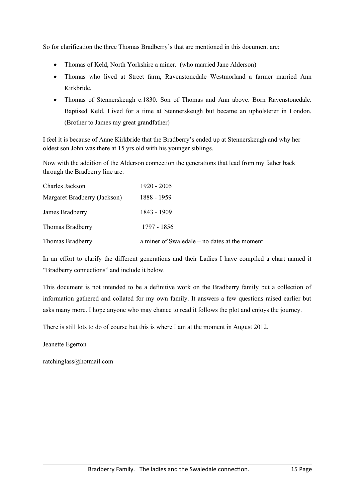So for clarification the three Thomas Bradberry's that are mentioned in this document are:

- Thomas of Keld, North Yorkshire a miner. (who married Jane Alderson)
- Thomas who lived at Street farm, Ravenstonedale Westmorland a farmer married Ann Kirkbride.
- Thomas of Stennerskeugh c.1830. Son of Thomas and Ann above. Born Ravenstonedale. Baptised Keld. Lived for a time at Stennerskeugh but became an upholsterer in London. (Brother to James my great grandfather)

I feel it is because of Anne Kirkbride that the Bradberry's ended up at Stennerskeugh and why her oldest son John was there at 15 yrs old with his younger siblings.

Now with the addition of the Alderson connection the generations that lead from my father back through the Bradberry line are:

| Charles Jackson              | 1920 - 2005                                     |
|------------------------------|-------------------------------------------------|
| Margaret Bradberry (Jackson) | 1888 - 1959                                     |
| James Bradberry              | 1843 - 1909                                     |
| Thomas Bradberry             | 1797 - 1856                                     |
| Thomas Bradberry             | a miner of Swaledale $-$ no dates at the moment |

In an effort to clarify the different generations and their Ladies I have compiled a chart named it "Bradberry connections" and include it below.

This document is not intended to be a definitive work on the Bradberry family but a collection of information gathered and collated for my own family. It answers a few questions raised earlier but asks many more. I hope anyone who may chance to read it follows the plot and enjoys the journey.

There is still lots to do of course but this is where I am at the moment in August 2012.

Jeanette Egerton

ratchinglass@hotmail.com